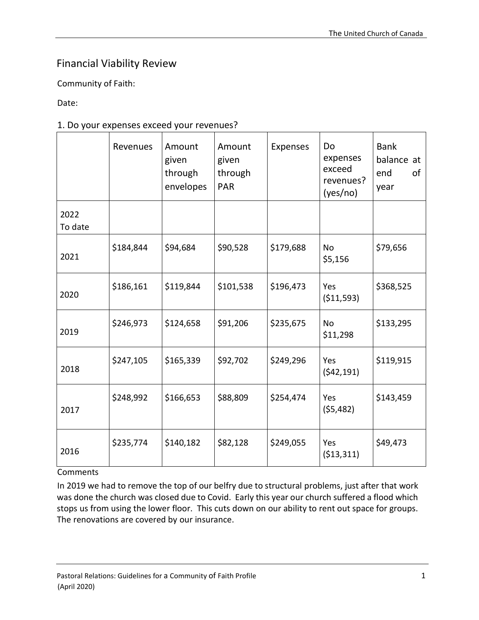## Financial Viability Review

Community of Faith:

Date:

### 1. Do your expenses exceed your revenues?

|                 | Revenues  | Amount<br>given<br>through<br>envelopes | Amount<br>given<br>through<br><b>PAR</b> | <b>Expenses</b> | Do<br>expenses<br>exceed<br>revenues?<br>(yes/no) | <b>Bank</b><br>balance at<br>of<br>end<br>year |
|-----------------|-----------|-----------------------------------------|------------------------------------------|-----------------|---------------------------------------------------|------------------------------------------------|
| 2022<br>To date |           |                                         |                                          |                 |                                                   |                                                |
| 2021            | \$184,844 | \$94,684                                | \$90,528                                 | \$179,688       | <b>No</b><br>\$5,156                              | \$79,656                                       |
| 2020            | \$186,161 | \$119,844                               | \$101,538                                | \$196,473       | Yes<br>( \$11,593)                                | \$368,525                                      |
| 2019            | \$246,973 | \$124,658                               | \$91,206                                 | \$235,675       | <b>No</b><br>\$11,298                             | \$133,295                                      |
| 2018            | \$247,105 | \$165,339                               | \$92,702                                 | \$249,296       | Yes<br>(542, 191)                                 | \$119,915                                      |
| 2017            | \$248,992 | \$166,653                               | \$88,809                                 | \$254,474       | Yes<br>(55, 482)                                  | \$143,459                                      |
| 2016            | \$235,774 | \$140,182                               | \$82,128                                 | \$249,055       | Yes<br>(513, 311)                                 | \$49,473                                       |

Comments

In 2019 we had to remove the top of our belfry due to structural problems, just after that work was done the church was closed due to Covid. Early this year our church suffered a flood which stops us from using the lower floor. This cuts down on our ability to rent out space for groups. The renovations are covered by our insurance.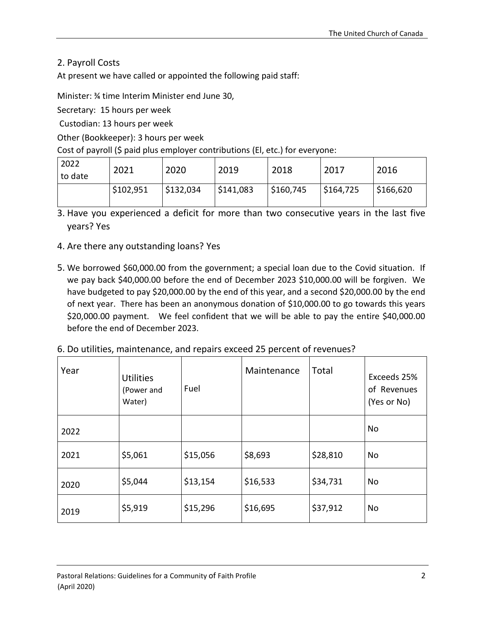2. Payroll Costs

At present we have called or appointed the following paid staff:

Minister: ¾ time Interim Minister end June 30,

Secretary: 15 hours per week

Custodian: 13 hours per week

Other (Bookkeeper): 3 hours per week

Cost of payroll (\$ paid plus employer contributions (El, etc.) for everyone:

| 2022<br>to date | 2021      | 2020      | 2019      | 2018      | 2017      | 2016      |
|-----------------|-----------|-----------|-----------|-----------|-----------|-----------|
|                 | \$102,951 | \$132,034 | \$141,083 | \$160,745 | \$164,725 | \$166,620 |

- 3. Have you experienced a deficit for more than two consecutive years in the last five years? Yes
- 4. Are there any outstanding loans? Yes
- 5. We borrowed \$60,000.00 from the government; a special loan due to the Covid situation. If we pay back \$40,000.00 before the end of December 2023 \$10,000.00 will be forgiven. We have budgeted to pay \$20,000.00 by the end of this year, and a second \$20,000.00 by the end of next year. There has been an anonymous donation of \$10,000.00 to go towards this years \$20,000.00 payment. We feel confident that we will be able to pay the entire \$40,000.00 before the end of December 2023.

| 6. Do utilities, maintenance, and repairs exceed 25 percent of revenues? |  |
|--------------------------------------------------------------------------|--|
|--------------------------------------------------------------------------|--|

| Year | <b>Utilities</b><br>(Power and<br>Water) | Fuel     | Maintenance | Total    | Exceeds 25%<br>of Revenues<br>(Yes or No) |
|------|------------------------------------------|----------|-------------|----------|-------------------------------------------|
| 2022 |                                          |          |             |          | No                                        |
| 2021 | \$5,061                                  | \$15,056 | \$8,693     | \$28,810 | No                                        |
| 2020 | \$5,044                                  | \$13,154 | \$16,533    | \$34,731 | No                                        |
| 2019 | \$5,919                                  | \$15,296 | \$16,695    | \$37,912 | No                                        |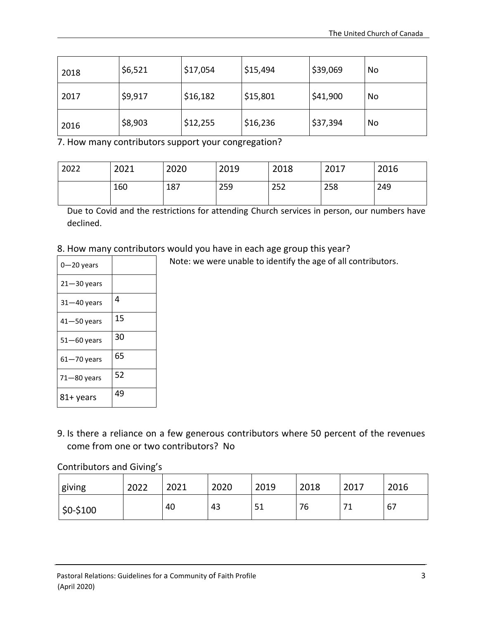| 2018 | \$6,521 | \$17,054 | \$15,494 | \$39,069 | No |
|------|---------|----------|----------|----------|----|
| 2017 | \$9,917 | \$16,182 | \$15,801 | \$41,900 | No |
| 2016 | \$8,903 | \$12,255 | \$16,236 | \$37,394 | No |

7. How many contributors support your congregation?

| 2022 | 2021 | 2020 | 2019 | 2018 | 2017 | 2016 |
|------|------|------|------|------|------|------|
|      | 160  | 187  | 259  | 252  | 258  | 249  |

Due to Covid and the restrictions for attending Church services in person, our numbers have declined.

# 8. How many contributors would you have in each age group this year?

| $0 - 20$ years  |    |
|-----------------|----|
| $21 - 30$ years |    |
| $31 - 40$ years | 4  |
| $41 - 50$ years | 15 |
| $51 - 60$ years | 30 |
| $61 - 70$ years | 65 |
| $71 - 80$ years | 52 |
| 81+ years       | 49 |

Note: we were unable to identify the age of all contributors.

9. Is there a reliance on a few generous contributors where 50 percent of the revenues come from one or two contributors? No

#### Contributors and Giving's

| giving      | 2022 | 2021 | 2020 | 2019 | 2018 | 2017      | 2016 |
|-------------|------|------|------|------|------|-----------|------|
| $ $0-\$100$ |      | 40   | 43   | 51   | 76   | ٠,<br>╶╶┸ | 67   |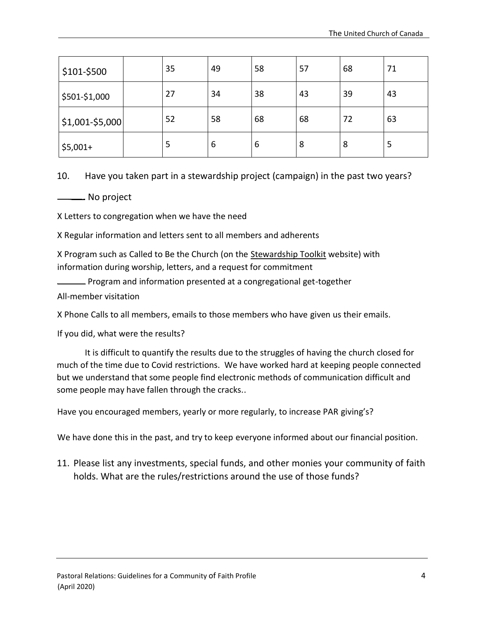| \$101-\$500     | 35 | 49 | 58 | 57 | 68 | 71 |
|-----------------|----|----|----|----|----|----|
| \$501-\$1,000   | 27 | 34 | 38 | 43 | 39 | 43 |
| $$1,001-$5,000$ | 52 | 58 | 68 | 68 | 72 | 63 |
| $$5,001+$       | 5  | 6  | 6  | 8  | 8  | 5  |

10. Have you taken part in a stewardship project (campaign) in the past two years?

No project

X Letters to congregation when we have the need

X Regular information and letters sent to all members and adherents

X Program such as Called to Be the Church (on the Stewardship Toolkit website) with information during worship, letters, and a request for commitment

Program and information presented at a congregational get-together

All-member visitation

X Phone Calls to all members, emails to those members who have given us their emails.

If you did, what were the results?

It is difficult to quantify the results due to the struggles of having the church closed for much of the time due to Covid restrictions. We have worked hard at keeping people connected but we understand that some people find electronic methods of communication difficult and some people may have fallen through the cracks..

Have you encouraged members, yearly or more regularly, to increase PAR giving's?

We have done this in the past, and try to keep everyone informed about our financial position.

11. Please list any investments, special funds, and other monies your community of faith holds. What are the rules/restrictions around the use of those funds?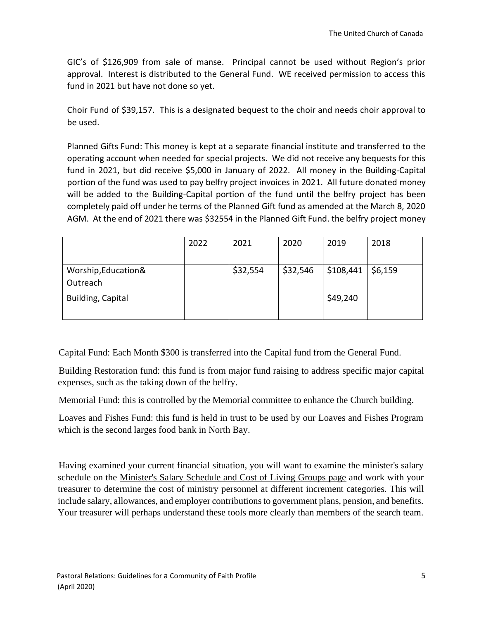GIC's of \$126,909 from sale of manse. Principal cannot be used without Region's prior approval. Interest is distributed to the General Fund. WE received permission to access this fund in 2021 but have not done so yet.

Choir Fund of \$39,157. This is a designated bequest to the choir and needs choir approval to be used.

Planned Gifts Fund: This money is kept at a separate financial institute and transferred to the operating account when needed for special projects. We did not receive any bequests for this fund in 2021, but did receive \$5,000 in January of 2022. All money in the Building-Capital portion of the fund was used to pay belfry project invoices in 2021. All future donated money will be added to the Building-Capital portion of the fund until the belfry project has been completely paid off under he terms of the Planned Gift fund as amended at the March 8, 2020 AGM. At the end of 2021 there was \$32554 in the Planned Gift Fund. the belfry project money

|                                  | 2022 | 2021     | 2020     | 2019      | 2018    |
|----------------------------------|------|----------|----------|-----------|---------|
| Worship, Education &<br>Outreach |      | \$32,554 | \$32,546 | \$108,441 | \$6,159 |
| Building, Capital                |      |          |          | \$49,240  |         |

Capital Fund: Each Month \$300 is transferred into the Capital fund from the General Fund.

Building Restoration fund: this fund is from major fund raising to address specific major capital expenses, such as the taking down of the belfry.

Memorial Fund: this is controlled by the Memorial committee to enhance the Church building.

Loaves and Fishes Fund: this fund is held in trust to be used by our Loaves and Fishes Program which is the second larges food bank in North Bay.

Having examined your current financial situation, you will want to examine the minister's salary schedule on the Minister's Salary Schedule and Cost of Living Groups page and work with your treasurer to determine the cost of ministry personnel at different increment categories. This will include salary, allowances, and employer contributions to government plans, pension, and benefits. Your treasurer will perhaps understand these tools more clearly than members of the search team.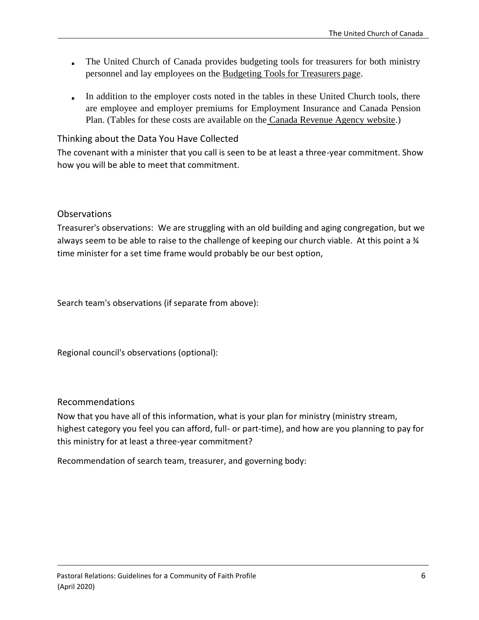- The United Church of Canada provides budgeting tools for treasurers for both ministry personnel and lay employees on the Budgeting Tools for Treasurers page.
- In addition to the employer costs noted in the tables in these United Church tools, there are employee and employer premiums for Employment Insurance and Canada Pension Plan. (Tables for these costs are available on the Canada Revenue Agency website.)

Thinking about the Data You Have Collected

The covenant with a minister that you call is seen to be at least a three-year commitment. Show how you will be able to meet that commitment.

#### Observations

Treasurer's observations: We are struggling with an old building and aging congregation, but we always seem to be able to raise to the challenge of keeping our church viable. At this point a 34 time minister for a set time frame would probably be our best option,

Search team's observations (if separate from above):

Regional council's observations (optional):

#### Recommendations

Now that you have all of this information, what is your plan for ministry (ministry stream, highest category you feel you can afford, full- or part-time), and how are you planning to pay for this ministry for at least a three-year commitment?

Recommendation of search team, treasurer, and governing body: